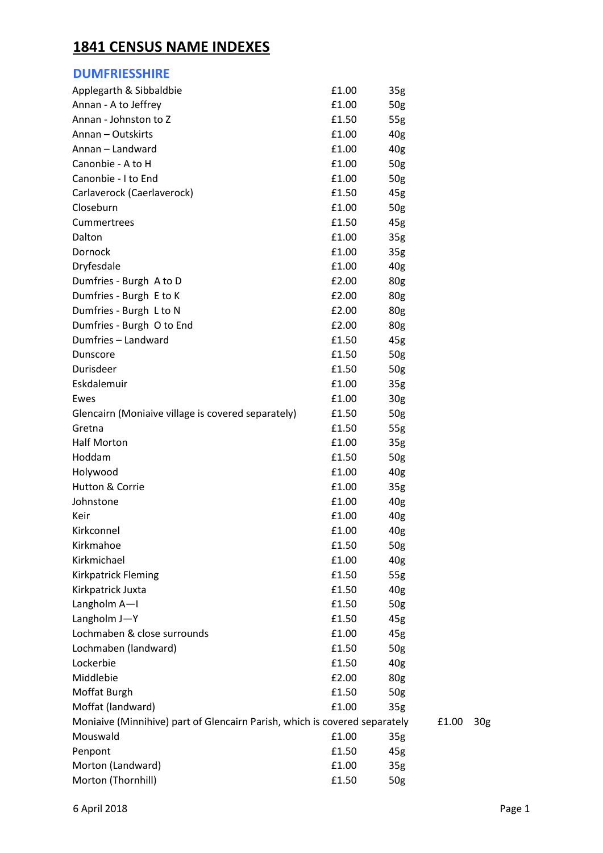## **1841 CENSUS NAME INDEXES**

| <b>DUMFRIESSHIRE</b>                                                       |       |                 |       |                 |
|----------------------------------------------------------------------------|-------|-----------------|-------|-----------------|
| Applegarth & Sibbaldbie                                                    | £1.00 | 35 <sub>g</sub> |       |                 |
| Annan - A to Jeffrey                                                       | £1.00 | 50g             |       |                 |
| Annan - Johnston to Z                                                      | £1.50 | 55g             |       |                 |
| Annan - Outskirts                                                          | £1.00 | 40g             |       |                 |
| Annan - Landward                                                           | £1.00 | 40 <sub>g</sub> |       |                 |
| Canonbie - A to H                                                          | £1.00 | 50g             |       |                 |
| Canonbie - I to End                                                        | £1.00 | 50g             |       |                 |
| Carlaverock (Caerlaverock)                                                 | £1.50 | 45g             |       |                 |
| Closeburn                                                                  | £1.00 | 50 <sub>g</sub> |       |                 |
| Cummertrees                                                                | £1.50 | 45g             |       |                 |
| Dalton                                                                     | £1.00 | 35 <sub>g</sub> |       |                 |
| Dornock                                                                    | £1.00 | 35 <sub>g</sub> |       |                 |
| Dryfesdale                                                                 | £1.00 | 40g             |       |                 |
| Dumfries - Burgh A to D                                                    | £2.00 | 80g             |       |                 |
| Dumfries - Burgh E to K                                                    | £2.00 | 80g             |       |                 |
| Dumfries - Burgh L to N                                                    | £2.00 | 80g             |       |                 |
| Dumfries - Burgh O to End                                                  | £2.00 | 80g             |       |                 |
| Dumfries - Landward                                                        | £1.50 | 45g             |       |                 |
| Dunscore                                                                   | £1.50 | 50 <sub>g</sub> |       |                 |
| Durisdeer                                                                  | £1.50 | 50g             |       |                 |
| Eskdalemuir                                                                | £1.00 | 35 <sub>g</sub> |       |                 |
| Ewes                                                                       | £1.00 | 30 <sub>g</sub> |       |                 |
| Glencairn (Moniaive village is covered separately)                         | £1.50 | 50 <sub>g</sub> |       |                 |
| Gretna                                                                     | £1.50 | 55g             |       |                 |
| <b>Half Morton</b>                                                         | £1.00 | 35 <sub>g</sub> |       |                 |
| Hoddam                                                                     | £1.50 | 50 <sub>g</sub> |       |                 |
| Holywood                                                                   | £1.00 | 40g             |       |                 |
| Hutton & Corrie                                                            | £1.00 | 35 <sub>g</sub> |       |                 |
| Johnstone                                                                  | £1.00 | 40 <sub>g</sub> |       |                 |
| Keir                                                                       | £1.00 | 40 <sub>g</sub> |       |                 |
| Kirkconnel                                                                 | £1.00 | 40 <sub>g</sub> |       |                 |
| Kirkmahoe                                                                  | £1.50 | 50g             |       |                 |
| Kirkmichael                                                                | £1.00 | 40 <sub>g</sub> |       |                 |
| Kirkpatrick Fleming                                                        | £1.50 | 55g             |       |                 |
| Kirkpatrick Juxta                                                          | £1.50 | 40 <sub>g</sub> |       |                 |
| Langholm A-I                                                               | £1.50 | 50g             |       |                 |
| Langholm J-Y                                                               | £1.50 | 45g             |       |                 |
| Lochmaben & close surrounds                                                | £1.00 | 45g             |       |                 |
| Lochmaben (landward)                                                       | £1.50 | 50g             |       |                 |
| Lockerbie                                                                  | £1.50 | 40 <sub>g</sub> |       |                 |
| Middlebie                                                                  | £2.00 | 80g             |       |                 |
| Moffat Burgh                                                               | £1.50 | 50 <sub>g</sub> |       |                 |
| Moffat (landward)                                                          | £1.00 | 35 <sub>g</sub> |       |                 |
| Moniaive (Minnihive) part of Glencairn Parish, which is covered separately |       |                 | £1.00 | 30 <sub>g</sub> |
| Mouswald                                                                   | £1.00 | 35 <sub>g</sub> |       |                 |
| Penpont                                                                    | £1.50 | 45g             |       |                 |
| Morton (Landward)                                                          | £1.00 | 35 <sub>g</sub> |       |                 |
| Morton (Thornhill)                                                         | £1.50 | 50g             |       |                 |
|                                                                            |       |                 |       |                 |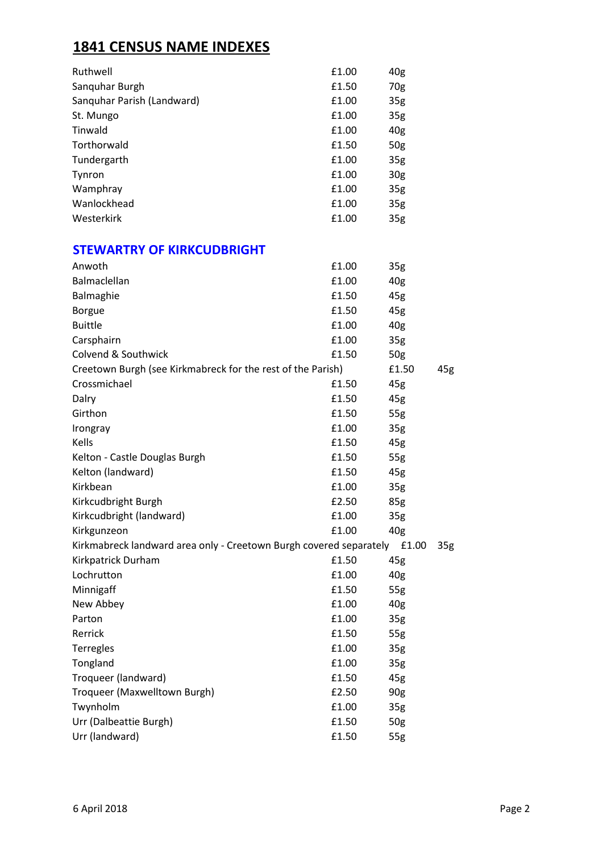# **1841 CENSUS NAME INDEXES**

| Ruthwell                   | £1.00 | 40 <sub>g</sub> |
|----------------------------|-------|-----------------|
| Sanguhar Burgh             | £1.50 | 70g             |
| Sanguhar Parish (Landward) | £1.00 | 35 <sub>g</sub> |
| St. Mungo                  | £1.00 | 35 <sub>g</sub> |
| Tinwald                    | £1.00 | 40 <sub>g</sub> |
| Torthorwald                | £1.50 | 50 <sub>g</sub> |
| Tundergarth                | £1.00 | 35 <sub>g</sub> |
| Tynron                     | £1.00 | 30 <sub>g</sub> |
| Wamphray                   | £1.00 | 35 <sub>g</sub> |
| Wanlockhead                | £1.00 | 35 <sub>g</sub> |
| Westerkirk                 | £1.00 | 35 <sub>g</sub> |

#### **STEWARTRY OF KIRKCUDBRIGHT**

| Anwoth                                                                      | £1.00 | 35 <sub>g</sub> |     |
|-----------------------------------------------------------------------------|-------|-----------------|-----|
| Balmaclellan                                                                | £1.00 | 40g             |     |
| Balmaghie                                                                   | £1.50 | 45g             |     |
| <b>Borgue</b>                                                               | £1.50 | 45g             |     |
| <b>Buittle</b>                                                              | £1.00 | 40 <sub>g</sub> |     |
| Carsphairn                                                                  | £1.00 | 35 <sub>g</sub> |     |
| Colvend & Southwick                                                         | £1.50 | 50g             |     |
| Creetown Burgh (see Kirkmabreck for the rest of the Parish)                 |       |                 | 45g |
| Crossmichael                                                                | £1.50 | 45g             |     |
| Dalry                                                                       | £1.50 | 45g             |     |
| Girthon                                                                     | £1.50 | 55g             |     |
| Irongray                                                                    | £1.00 | 35g             |     |
| Kells                                                                       | £1.50 | 45g             |     |
| Kelton - Castle Douglas Burgh                                               | £1.50 | 55g             |     |
| Kelton (landward)                                                           | £1.50 | 45g             |     |
| Kirkbean                                                                    | £1.00 | 35 <sub>g</sub> |     |
| Kirkcudbright Burgh                                                         | £2.50 | 85g             |     |
| Kirkcudbright (landward)                                                    | £1.00 | 35 <sub>g</sub> |     |
| Kirkgunzeon                                                                 | £1.00 | 40 <sub>g</sub> |     |
| Kirkmabreck landward area only - Creetown Burgh covered separately<br>£1.00 |       |                 |     |
| Kirkpatrick Durham                                                          | £1.50 | 45g             |     |
| Lochrutton                                                                  | £1.00 | 40g             |     |
| Minnigaff                                                                   | £1.50 | 55g             |     |
| New Abbey                                                                   | £1.00 | 40 <sub>g</sub> |     |
| Parton                                                                      | £1.00 | 35 <sub>g</sub> |     |
| Rerrick                                                                     | £1.50 | 55g             |     |
| Terregles                                                                   | £1.00 | 35 <sub>g</sub> |     |
| Tongland                                                                    | £1.00 | 35 <sub>g</sub> |     |
| Troqueer (landward)                                                         | £1.50 | 45g             |     |
| Troqueer (Maxwelltown Burgh)                                                | £2.50 | 90 <sub>g</sub> |     |
| Twynholm                                                                    | £1.00 | 35g             |     |
| Urr (Dalbeattie Burgh)                                                      | £1.50 | 50g             |     |
| Urr (landward)                                                              | £1.50 | 55g             |     |